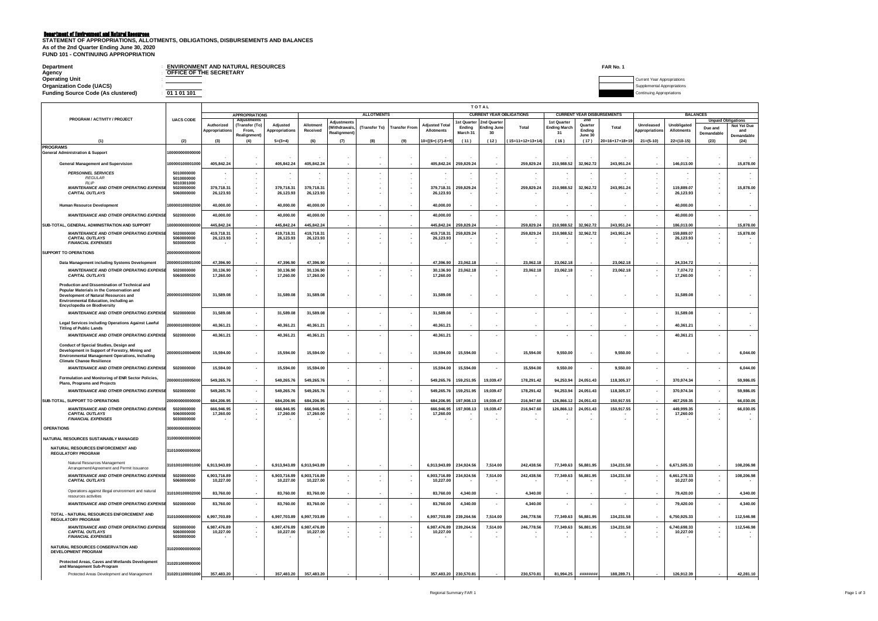**Beartment of Environment and Natural Resentese**<br>Statement of Appropriations, Allotments, Obligations, Disbursements and Balances **As of the 2nd Quarter Ending June 30, 2020 FUND 101 - CONTINUING APPROPRIATION**

| Department<br>Agency                                     |            | <b>ENVIRONMENT AND NATURAL RESOURCES</b><br>OFFICE OF THE SECRETARY |                   |                                 | FAR No. 1                                    |                                                            |
|----------------------------------------------------------|------------|---------------------------------------------------------------------|-------------------|---------------------------------|----------------------------------------------|------------------------------------------------------------|
| <b>Operating Unit</b><br><b>Organization Code (UACS)</b> |            |                                                                     |                   |                                 |                                              | Current Year Appropriations<br>Supplemental Appropriations |
| <b>Funding Source Code (As clustered)</b>                | : 01101101 |                                                                     |                   |                                 |                                              | <b>Continuing Appropriations</b>                           |
|                                                          |            |                                                                     |                   | <b>TOTAL</b>                    |                                              |                                                            |
| ------------------------------                           | .          | <b>APPROPRIATIONS</b>                                               | <b>ALLOTMENTS</b> | <b>CURRENT YEAR OBLIGATIONS</b> | <b>CURRENT YEAR DISBURSEMENTS</b><br>_______ |                                                            |
|                                                          |            |                                                                     |                   |                                 |                                              |                                                            |

| PROGRAM / ACTIVITY / PROJECT                                                               | <b>UACS CODE</b> |                | <b>APPROPRIATION</b>                 |                |              |                          | <b>ALLOIMENIS</b> |                          |                       |                       | <b>CURRENT YEAR OBLIGATIONS</b> |                    | $\left( \text{IIFKFAI} \right)$ |                | <b>YEAR DISBURSEMENTS</b> |                | <b>BALANCES</b> |                           |                          |
|--------------------------------------------------------------------------------------------|------------------|----------------|--------------------------------------|----------------|--------------|--------------------------|-------------------|--------------------------|-----------------------|-----------------------|---------------------------------|--------------------|---------------------------------|----------------|---------------------------|----------------|-----------------|---------------------------|--------------------------|
|                                                                                            |                  | Authorized     | <b>Adjustments</b><br>(Transfer (To) | Adiusted       | Allotment    | <b>Adjustment</b>        |                   |                          | <b>Adjusted Total</b> | <b>Ist Quarter</b>    | 2nd Quarte                      |                    | 1st Quarter                     | 2nd<br>Quarter |                           | Unreleased     | Unobligated     | <b>Unpaid Obligations</b> | Not Yet Due              |
|                                                                                            |                  | Appropriations | From.                                | Appropriations | Received     | Withdrawals              | (Transfer To)     | <b>Transfer Fron</b>     | <b>Allotments</b>     | Ending                | <b>Ending Jun</b>               | Total              | <b>Ending March</b>             | Ending         | Total                     | Appropriations | Allotments      | Due and                   | and                      |
|                                                                                            |                  |                | <b>Realignme</b>                     |                |              | Realignment              |                   |                          |                       | March 31              | 30                              |                    | 31                              | June 30        |                           |                |                 | Demandable                | Demandable               |
| (1)                                                                                        | (2)              | (3)            | (4)                                  | $5=(3+4)$      | (6)          | (7)                      | (8)               | (9)                      | 10=[{6+(-)7}-8+9]     | (11)                  | (12)                            | $(15=11+12+13+14)$ | (16)                            | (17)           | $20-16+17+18+19$          | $21 = (5-10)$  | $22=(10-15)$    | (23)                      | (24)                     |
| <b>PROGRAMS</b>                                                                            |                  |                |                                      |                |              |                          |                   |                          |                       |                       |                                 |                    |                                 |                |                           |                |                 |                           |                          |
| <b>General Administration &amp; Support</b>                                                | 0000000000000    |                |                                      |                |              |                          |                   |                          |                       |                       |                                 |                    |                                 |                |                           |                |                 |                           |                          |
|                                                                                            |                  |                |                                      |                |              |                          |                   |                          |                       |                       |                                 |                    |                                 |                |                           |                |                 |                           |                          |
| <b>General Management and Supervision</b>                                                  | 00000100001000   | 405,842.24     |                                      | 405,842.24     | 405,842.24   |                          |                   | ٠.                       | 405,842.24            | 259,829.24            |                                 | 259,829.24         | 210,988.52                      | 32,962.72      | 243,951.24                |                | 146,013.00      |                           | 15,878.00                |
|                                                                                            |                  |                |                                      |                |              |                          |                   |                          |                       |                       |                                 |                    |                                 |                |                           |                |                 |                           |                          |
| <b>PERSONNEL SERVICES</b>                                                                  | 5010000000       |                |                                      |                |              |                          |                   | $\overline{\phantom{a}}$ |                       |                       |                                 |                    |                                 |                |                           |                |                 |                           |                          |
| <b>REGULAR</b>                                                                             | 5010000000       |                |                                      |                |              |                          |                   |                          |                       |                       |                                 |                    |                                 |                |                           |                |                 |                           |                          |
| RI IP                                                                                      | 5010301000       |                | $\overline{\phantom{a}}$             |                |              |                          |                   | $\overline{\phantom{a}}$ |                       |                       |                                 |                    |                                 |                |                           |                |                 | ٠.                        |                          |
| MAINTENANCE AND OTHER OPERATING EXPENSE                                                    | 5020000000       | 379.718.31     | $\overline{\phantom{a}}$             | 379.718.31     | 379.718.31   |                          |                   | $\overline{\phantom{a}}$ | 379.718.31            | 259.829.24            | . п.                            | 259.829.24         | 210.988.52                      | 32,962.72      | 243,951.24                |                | 119.889.07      | $\mathbf{r}$              | 15,878.00                |
| <b>CAPITAL OUTLAYS</b>                                                                     | 5060000000       | 26.123.93      | ÷.                                   | 26,123.93      | 26,123.93    |                          |                   |                          | 26.123.93             |                       |                                 |                    |                                 |                |                           |                | 26,123.93       |                           |                          |
|                                                                                            |                  |                |                                      |                |              |                          |                   |                          |                       |                       |                                 |                    |                                 |                |                           |                |                 |                           |                          |
| <b>Human Resource Development</b>                                                          | 10000010000200   | 40.000.00      | $\sim$                               | 40.000.00      | 40.000.00    | - 21                     |                   | $\mathbf{r}$             | 40.000.00             |                       |                                 | $\sim$             | . .                             |                | ۰.                        |                | 40.000.00       | $\sim$                    | $\overline{\phantom{a}}$ |
|                                                                                            |                  |                |                                      |                |              |                          |                   |                          |                       |                       |                                 |                    |                                 |                |                           |                |                 |                           |                          |
| <b>MAINTENANCE AND OTHER OPERATING EXPENSE</b>                                             | 5020000000       | 40,000.00      |                                      | 40,000.00      | 40,000.00    |                          |                   | $\overline{\phantom{a}}$ | 40,000.00             |                       |                                 |                    |                                 |                |                           |                | 40,000.00       | $\epsilon$                |                          |
|                                                                                            |                  |                |                                      |                |              |                          |                   |                          |                       |                       |                                 |                    |                                 |                |                           |                |                 |                           |                          |
| SUB-TOTAL, GENERAL ADMINISTRATION AND SUPPORT                                              | 00000000000000   | 445.842.24     |                                      | 445.842.24     | 445.842.24   |                          |                   |                          | 445.842.24            | 259.829.24            |                                 | 259.829.24         | 210.988.52                      | 32.962.72      | 243.951.24                |                | 186.013.00      |                           | 15,878.00                |
| MAINTENANCE AND OTHER OPERATING EXPENSE                                                    | 5020000000       | 419.718.31     |                                      | 419 718 31     | 419 718 31   |                          |                   |                          | 419 718 31            | 259,829.24            |                                 | 259,829.24         | 210,988.52                      | 32,962.72      | 243,951.24                |                | 159 889 07      | $\mathbf{r}$              | 15,878.00                |
| <b>CAPITAL OUTLAYS</b>                                                                     | 5060000000       | 26,123.93      | $\overline{\phantom{a}}$             | 26,123.93      | 26,123.93    | $\overline{\phantom{a}}$ |                   | $\overline{\phantom{a}}$ | 26,123.93             |                       | . п.                            |                    |                                 |                |                           |                | 26,123.93       | $\mathbf{r}$              |                          |
| <b>FINANCIAL EXPENSES</b>                                                                  | 5030000000       |                |                                      |                |              |                          |                   |                          |                       |                       |                                 |                    |                                 |                |                           |                |                 |                           |                          |
|                                                                                            |                  |                |                                      |                |              |                          |                   |                          |                       |                       |                                 |                    |                                 |                |                           |                |                 |                           |                          |
| <b>SUPPORT TO OPERATIONS</b>                                                               | 200000000000000  |                |                                      |                |              |                          |                   |                          |                       |                       |                                 |                    |                                 |                |                           |                |                 |                           |                          |
| Data Management including Systems Development                                              | 00000100001000   | 47.396.90      |                                      | 47.396.90      | 47.396.90    |                          |                   |                          | 47.396.90             | 23.062.18             |                                 | 23.062.18          | 23.062.18                       |                | 23.062.18                 |                | 24.334.72       |                           |                          |
|                                                                                            |                  |                |                                      |                |              |                          |                   |                          |                       |                       |                                 |                    |                                 |                |                           |                |                 |                           |                          |
| <b>MAINTENANCE AND OTHER OPERATING EXPENSE</b>                                             | 5020000000       | 30.136.90      |                                      | 30.136.90      | 30.136.90    | $\sim$                   |                   | $\overline{\phantom{a}}$ | 30.136.90             | 23,062.18             | $\sim$                          | 23.062.18          | 23,062.18                       |                | 23,062.18                 |                | 7.074.72        | $\sim$                    |                          |
| <b>CAPITAL OUTLAYS</b>                                                                     | 5060000000       | 17,260.00      |                                      | 17.260.00      | 17.260.00    | - 21                     |                   | $\overline{\phantom{a}}$ | 17,260,00             |                       | . п.                            |                    |                                 |                |                           |                | 17,260.00       | $\mathbf{r}$              |                          |
|                                                                                            |                  |                |                                      |                |              |                          |                   |                          |                       |                       |                                 |                    |                                 |                |                           |                |                 |                           |                          |
| Production and Dissemination of Technical and<br>Popular Materials in the Conservation and |                  |                |                                      |                |              |                          |                   |                          |                       |                       |                                 |                    |                                 |                |                           |                |                 |                           |                          |
| Development of Natural Resources and                                                       | 200000100002000  | 31,589.08      |                                      | 31,589.08      | 31,589.08    |                          |                   | ٠.                       | 31,589.08             |                       |                                 |                    |                                 |                |                           |                | 31,589.08       |                           |                          |
| Environmental Education, including an                                                      |                  |                |                                      |                |              |                          |                   |                          |                       |                       |                                 |                    |                                 |                |                           |                |                 |                           |                          |
| <b>Encyclopedia on Biodiversity</b>                                                        |                  |                |                                      |                |              |                          |                   |                          |                       |                       |                                 |                    |                                 |                |                           |                |                 |                           |                          |
|                                                                                            |                  |                |                                      |                |              |                          |                   |                          |                       |                       |                                 |                    |                                 |                |                           |                |                 |                           |                          |
| <b>MAINTENANCE AND OTHER OPERATING EXPENSE</b>                                             | 5020000000       | 31.589.08      |                                      | 31,589.08      | 31.589.08    |                          |                   | $\overline{\phantom{a}}$ | 31.589.08             |                       |                                 |                    |                                 |                |                           |                | 31.589.08       | $\sim$                    |                          |
| Legal Services including Operations Against Lawful                                         |                  |                |                                      |                |              |                          |                   |                          |                       |                       |                                 |                    |                                 |                |                           |                |                 |                           |                          |
| <b>Titling of Public Lands</b>                                                             | 00000100003000   | 40,361.21      |                                      | 40.361.21      | 40.361.21    |                          |                   | $\overline{\phantom{a}}$ | 40.361.21             |                       |                                 |                    |                                 |                |                           |                | 40.361.21       | $\mathbf{r}$              |                          |
|                                                                                            |                  |                |                                      |                |              |                          |                   |                          |                       |                       |                                 |                    |                                 |                |                           |                |                 |                           |                          |
| <b>MAINTENANCE AND OTHER OPERATING EXPENSE</b>                                             | 5020000000       | 40,361.21      |                                      | 40,361.21      | 40,361.21    | $\cdot$                  |                   |                          | 40,361.21             |                       |                                 |                    |                                 |                |                           |                | 40,361.21       | $\cdot$                   |                          |
| Conduct of Special Studies, Design and                                                     |                  |                |                                      |                |              |                          |                   |                          |                       |                       |                                 |                    |                                 |                |                           |                |                 |                           |                          |
|                                                                                            |                  |                |                                      |                |              |                          |                   |                          |                       |                       |                                 |                    |                                 |                |                           |                |                 |                           |                          |
| Development in Support of Forestry, Mining and                                             | 00000100004000   | 15,594.00      |                                      | 15.594.00      | 15,594.00    |                          |                   |                          | 15.594.00             | 15,594.00             |                                 | 15,594.00          | 9,550.00                        |                | 9,550.00                  |                |                 |                           | 6,044.00                 |
| <b>Environmental Management Operations, Including</b><br><b>Climate Change Resilience</b>  |                  |                |                                      |                |              |                          |                   |                          |                       |                       |                                 |                    |                                 |                |                           |                |                 |                           |                          |
|                                                                                            |                  |                |                                      |                |              |                          |                   |                          |                       |                       |                                 |                    |                                 |                |                           |                |                 |                           |                          |
| MAINTENANCE AND OTHER OPERATING EXPENSE                                                    | 5020000000       | 15,594.00      |                                      | 15,594.00      | 15,594.00    |                          |                   | $\overline{\phantom{a}}$ | 15,594.00             | 15,594.00             | ۰.                              | 15,594.00          | 9,550.00                        | ۰.             | 9,550.00                  |                |                 | $\sim$                    | 6,044.00                 |
|                                                                                            |                  |                |                                      |                |              |                          |                   |                          |                       |                       |                                 |                    |                                 |                |                           |                |                 |                           |                          |
| Formulation and Monitoring of ENR Sector Policies,<br><b>Plans, Programs and Projects</b>  | 0000010000500    | 549.265.76     | $\overline{\phantom{a}}$             | 549,265.76     | 549,265.76   | - 21                     |                   | $\mathbf{r}$             | 549,265.76            | 159,251.95            | 19,039.47                       | 178,291.42         | 94,253.94                       | 24,051.43      | 118,305.37                |                | 370,974.34      | ۰.                        | 59,986.05                |
|                                                                                            |                  |                |                                      |                |              |                          |                   |                          |                       |                       |                                 |                    |                                 |                |                           |                |                 |                           |                          |
| MAINTENANCE AND OTHER OPERATING EXPENSE                                                    | 5020000000       | 549,265.76     |                                      | 549,265.76     | 549,265.76   |                          | ٠                 | $\overline{\phantom{a}}$ | 549,265.76            | 159,251.95            | 19,039.47                       | 178,291.42         | 94,253.94                       | 24,051.43      | 118,305.37                |                | 370,974.34      | $\cdot$                   | 59,986.05                |
|                                                                                            |                  |                |                                      |                |              |                          |                   |                          |                       |                       |                                 |                    |                                 |                |                           |                |                 |                           |                          |
| SUB-TOTAL, SUPPORT TO OPERATIONS                                                           | 000000000000     | 684.206.9      |                                      | 684.206.95     | 684.206.95   |                          |                   |                          | 684.206.95            | 197.908.1             | 19.039.47                       | 216.947.60         | 126,866.12                      | 24.051.43      | 150,917.55                |                | 467,259.35      |                           | 66,030.05                |
| <b>MAINTENANCE AND OTHER OPERATING EXPENSE</b>                                             | 5020000000       | 666,946.95     |                                      | 666.946.95     | 666,946.95   |                          |                   |                          | 666.946.95            | 197,908.13            | 19,039.47                       | 216,947.60         | 126,866.12                      | 24,051.43      | 150,917.55                |                | 449,999.35      | $\sim$                    | 66,030.05                |
| <b>CAPITAL OUTLAYS</b>                                                                     | 5060000000       | 17,260,00      | $\overline{\phantom{a}}$             | 17.260.00      | 17.260.00    |                          |                   | $\overline{\phantom{a}}$ | 17,260,00             |                       |                                 |                    |                                 |                |                           |                | 17.260.00       | $\sim$                    |                          |
| <b>FINANCIAL EXPENSES</b>                                                                  | 5030000000       |                |                                      |                |              |                          |                   |                          |                       |                       |                                 |                    |                                 |                |                           |                |                 |                           |                          |
|                                                                                            |                  |                |                                      |                |              |                          |                   |                          |                       |                       |                                 |                    |                                 |                |                           |                |                 |                           |                          |
| <b>OPERATIONS</b>                                                                          | 30000000000000   |                |                                      |                |              |                          |                   |                          |                       |                       |                                 |                    |                                 |                |                           |                |                 |                           |                          |
| NATURAL RESOURCES SUSTAINABLY MANAGED                                                      | 31000000000000   |                |                                      |                |              |                          |                   |                          |                       |                       |                                 |                    |                                 |                |                           |                |                 |                           |                          |
|                                                                                            |                  |                |                                      |                |              |                          |                   |                          |                       |                       |                                 |                    |                                 |                |                           |                |                 |                           |                          |
| NATURAL RESOURCES ENFORCEMENT AND                                                          |                  |                |                                      |                |              |                          |                   |                          |                       |                       |                                 |                    |                                 |                |                           |                |                 |                           |                          |
| <b>REGULATORY PROGRAM</b>                                                                  | 31010000000000   |                |                                      |                |              |                          |                   |                          |                       |                       |                                 |                    |                                 |                |                           |                |                 |                           |                          |
|                                                                                            |                  |                |                                      |                |              |                          |                   |                          |                       |                       |                                 |                    |                                 |                |                           |                |                 |                           |                          |
| Natural Resources Management                                                               | 310100100001000  | 6,913,943.89   |                                      | 6.913.943.89   | 6,913,943.89 |                          |                   |                          | 6.913.943.89          | 234,924.56            | 7,514.00                        | 242.438.56         | 77,349.63                       | 56,881.95      | 134,231.58                |                | 6,671,505.33    |                           | 108,206.98               |
| Arrangement/Agreement and Permit Issuance                                                  |                  |                |                                      |                |              |                          |                   |                          |                       |                       |                                 |                    |                                 |                |                           |                |                 |                           |                          |
| MAINTENANCE AND OTHER OPERATING EXPENSE                                                    | 5020000000       | 6,903,716.89   |                                      | 6,903,716.89   | 6,903,716.89 | $\overline{\phantom{a}}$ |                   |                          | 6,903,716.89          | 234,924.56            | 7,514.00                        | 242,438.56         | 77,349.63                       | 56,881.95      | 134,231.58                |                | 6,661,278.33    | $\cdot$                   | 108,206.98               |
| <b>CAPITAL OUTLAYS</b>                                                                     | 5060000000       | 10,227.00      |                                      | 10,227.00      | 10,227.00    |                          |                   |                          | 10,227.00             |                       |                                 |                    |                                 |                |                           |                | 10,227.00       |                           |                          |
|                                                                                            |                  |                |                                      |                |              |                          |                   |                          |                       |                       |                                 |                    |                                 |                |                           |                |                 |                           |                          |
| Operations against illegal environment and natural                                         | 10100100002000   | 83,760,00      |                                      | 83.760.00      | 83,760.00    |                          |                   | $\overline{\phantom{a}}$ | 83,760.00             | 4,340.00              |                                 | 4.340.00           |                                 |                |                           |                | 79,420.00       | $\cdot$                   | 4.340.00                 |
| resources activities                                                                       |                  |                |                                      |                |              |                          |                   |                          |                       |                       |                                 |                    |                                 |                |                           |                |                 |                           |                          |
| <b>MAINTENANCE AND OTHER OPERATING EXPENSE</b>                                             | 5020000000       | 83,760.00      | $\overline{\phantom{a}}$             | 83,760.00      | 83,760.00    | $\overline{\phantom{a}}$ | ٠                 | $\cdot$                  | 83,760.00             | 4,340.00              | $\sim$                          | 4,340.00           |                                 |                |                           |                | 79,420.00       | $\cdot$                   | 4,340.00                 |
|                                                                                            |                  |                |                                      |                |              |                          |                   |                          |                       |                       |                                 |                    |                                 |                |                           |                |                 |                           |                          |
| TOTAL - NATURAL RESOURCES ENFORCEMENT AND                                                  |                  |                |                                      |                |              |                          |                   |                          |                       |                       |                                 |                    |                                 |                |                           |                |                 |                           |                          |
| <b>REGULATORY PROGRAM</b>                                                                  | 10100000000000   | 6,997,703.89   | $\overline{\phantom{a}}$             | 6,997,703.89   | 6,997,703.89 |                          |                   | $\overline{\phantom{a}}$ | 6,997,703.89          | 239,264.56            | 7,514.00                        | 246,778.56         | 77.349.63                       | 56,881.95      | 134,231.58                |                | 6,750,925.33    | $\sim$                    | 112,546.98               |
| <b>MAINTENANCE AND OTHER OPERATING EXPENSE</b>                                             | 5020000000       | 6.987.476.89   | $\sim$                               | 6.987.476.89   | 6.987.476.89 | $\sim$                   |                   | $\overline{\phantom{a}}$ | 6.987.476.89          |                       |                                 |                    |                                 |                |                           |                | 6.740.698.33    | $\sim$                    |                          |
| <b>CAPITAL OUTLAYS</b>                                                                     | 5060000000       | 10,227.00      |                                      | 10,227.00      | 10,227.00    | $\sim$                   |                   |                          | 10,227.00             | 239,264.56            | 7,514.00                        | 246,778.56         | 77,349.63                       | 56,881.95      | 134,231.58                |                | 10,227.00       |                           | 112,546.98               |
| <b>FINANCIAL EXPENSES</b>                                                                  | 5030000000       |                |                                      |                |              |                          |                   |                          |                       |                       |                                 |                    |                                 |                |                           |                |                 |                           |                          |
|                                                                                            |                  |                |                                      |                |              |                          |                   |                          |                       |                       |                                 |                    |                                 |                |                           |                |                 |                           |                          |
| NATURAL RESOURCES CONSERVATION AND                                                         |                  |                |                                      |                |              |                          |                   |                          |                       |                       |                                 |                    |                                 |                |                           |                |                 |                           |                          |
| <b>DEVELOPMENT PROGRAM</b>                                                                 | 31020000000000   |                |                                      |                |              |                          |                   |                          |                       |                       |                                 |                    |                                 |                |                           |                |                 |                           |                          |
|                                                                                            |                  |                |                                      |                |              |                          |                   |                          |                       |                       |                                 |                    |                                 |                |                           |                |                 |                           |                          |
| Protected Areas, Caves and Wetlands Development                                            | 1020100000000    |                |                                      |                |              |                          |                   |                          |                       |                       |                                 |                    |                                 |                |                           |                |                 |                           |                          |
| and Management Sub-Program                                                                 |                  |                |                                      |                |              |                          |                   |                          |                       |                       |                                 |                    |                                 |                |                           |                |                 |                           |                          |
| Protected Areas Development and Management                                                 | 310201100001000  | 357,483.20     |                                      | 357,483.20     | 357,483.20   |                          |                   |                          |                       | 357,483.20 230,570.81 |                                 | 230,570.81         | 81,994.25                       | ########       | 188,289.71                |                | 126,912.39      |                           | 42,281.10                |
|                                                                                            |                  |                |                                      |                |              |                          |                   |                          |                       |                       |                                 |                    |                                 |                |                           |                |                 |                           |                          |

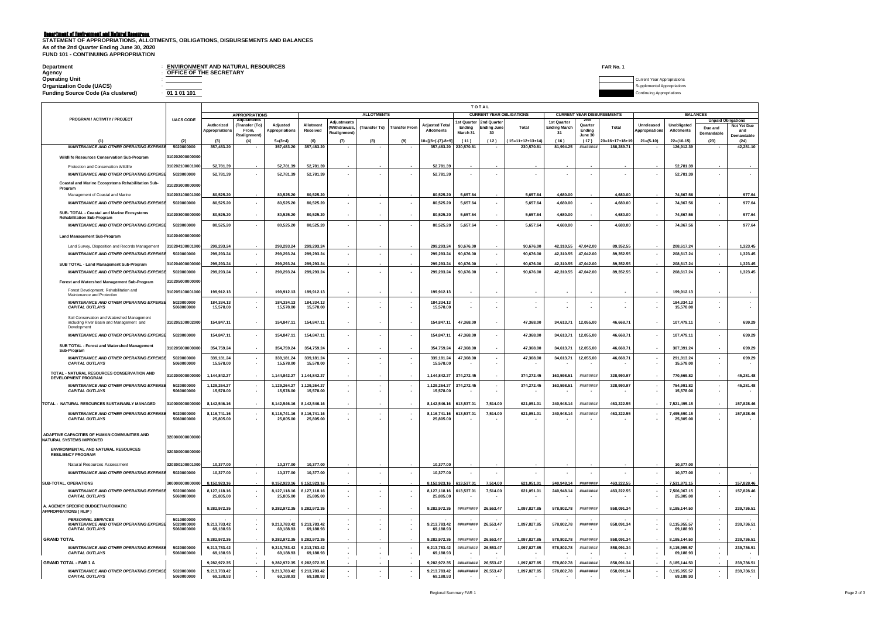**Beartment of Environment and Natural Resentese**<br>Statement of Appropriations, Allotments, Obligations, Disbursements and Balances **As of the 2nd Quarter Ending June 30, 2020 FUND 101 - CONTINUING APPROPRIATION**

| Department<br>Agency<br><b>Operating Unit</b><br><b>Organization Code (UACS)</b> | <b>ENVIRONMENT AND NATURAL RESOURCES</b><br>OFFICE OF THE SECRETARY<br>01 1 01 101 |       | FAR No. 1<br><b>Current Year Appropriations</b><br>Supplemental Appropriations |
|----------------------------------------------------------------------------------|------------------------------------------------------------------------------------|-------|--------------------------------------------------------------------------------|
| <b>Funding Source Code (As clustered)</b>                                        |                                                                                    | TOTAL | <b>Continuing Appropriations</b>                                               |

| PROGRAM / ACTIVITY / PROJECT                                                    |                          |                           | <b>APPROPRIATIONS</b>               |                             |                           |                            | <b>ALLOTMENTS</b>        |                      |                           |                               | <b>CURRENT YEAR OBLIGATIONS</b> |                                  | <b>CURRENT YEAR DISBURSEMENTS</b> |                  |                              |                | <b>BALANCES</b>            |                          |                         |
|---------------------------------------------------------------------------------|--------------------------|---------------------------|-------------------------------------|-----------------------------|---------------------------|----------------------------|--------------------------|----------------------|---------------------------|-------------------------------|---------------------------------|----------------------------------|-----------------------------------|------------------|------------------------------|----------------|----------------------------|--------------------------|-------------------------|
|                                                                                 | <b>UACS CODE</b>         | Authorized                | <b>Adjustments</b><br>(Transfer (To | Adiusted                    | Allotment                 | Adjustments                |                          |                      | <b>Adiusted Total</b>     | <b>Ist Quarter</b>            | 2nd Quarte                      |                                  | 1st Quarter                       | Quarter          |                              | Unreleased     | Unobligated                | Unpaid                   | igations<br>Not Yet Due |
|                                                                                 |                          | Appropriation             | From.                               | Appropriation               | Received                  | Withdrawals<br>tealignment | (Transfer To)            | <b>Transfer From</b> | Allotments                | Ending<br>March 3             | <b>Ending June</b><br>30        | Total                            | <b>Ending March</b><br>31         | Ending           | Total                        | Appropriations | <b>Allotments</b>          | Due and<br>Demandable    | and                     |
|                                                                                 |                          |                           | Realignment                         |                             |                           |                            |                          |                      |                           |                               |                                 |                                  |                                   | June 30          |                              |                |                            |                          | Demandable              |
| (1)<br><b>MAINTENANCE AND OTHER OPERATING EXPENSI</b>                           | (2)<br>5020000000        | (3)<br>357,483,20         | (4)                                 | $5 = (3 + 4)$<br>357,483.20 | (6)<br>357,483,20         | (7)                        | (8)                      | (9)                  | $0=[(6+(-)7)-8+9]$        | (11)<br>357,483.20 230,570.81 | (12)                            | $(15=11+12+13+14)$<br>230,570.81 | (16)<br>81.994.25                 | (17)<br>######## | 20=16+17+18+19<br>188,289.71 | $21 = (5-10)$  | $22=(10-15)$<br>126,912.39 | (23)                     | (24)<br>42.281.10       |
|                                                                                 |                          |                           |                                     |                             |                           |                            |                          |                      |                           |                               |                                 |                                  |                                   |                  |                              |                |                            |                          |                         |
| Wildlife Resources Conservation Sub-Program                                     | 31020200000000           |                           |                                     |                             |                           |                            |                          |                      |                           |                               |                                 |                                  |                                   |                  |                              |                |                            |                          |                         |
| Protection and Conservation Wildlife                                            | 310202100001000          | 52,781.39                 |                                     | 52.781.39                   | 52.781.39                 |                            |                          |                      | 52,781.39                 |                               |                                 |                                  |                                   |                  |                              |                | 52,781.39                  |                          |                         |
| <b>MAINTENANCE AND OTHER OPERATING EXPENSE</b>                                  | 5020000000               | 52.781.39                 | ٠.                                  | 52.781.39                   | 52.781.39                 |                            |                          |                      | 52.781.39                 |                               |                                 |                                  |                                   |                  |                              |                | 52.781.39                  | ٠.                       |                         |
|                                                                                 |                          |                           |                                     |                             |                           |                            |                          |                      |                           |                               |                                 |                                  |                                   |                  |                              |                |                            |                          |                         |
| Coastal and Marine Ecosystems Rehabilitation Sub-<br>Program                    | 310203000000000          |                           |                                     |                             |                           |                            |                          |                      |                           |                               |                                 |                                  |                                   |                  |                              |                |                            |                          |                         |
| Management of Coastal and Marine                                                | 310203100001000          | 80,525.20                 |                                     | 80.525.20                   | 80.525.20                 |                            |                          |                      | 80.525.20                 | 5,657.64                      |                                 | 5.657.64                         | 4.680.00                          |                  | 4.680.00                     |                | 74.867.56                  |                          | 977.64                  |
| MAINTENANCE AND OTHER OPERATING EXPENSE                                         | 5020000000               | 80,525.20                 | $\overline{\phantom{a}}$            | 80,525.20                   | 80,525.20                 |                            |                          |                      | 80,525.20                 | 5,657.64                      | ×.                              | 5,657.64                         | 4,680.00                          | $\sim$           | 4,680.00                     |                | 74,867.56                  | $\sim$                   | 977.64                  |
|                                                                                 |                          |                           |                                     |                             |                           |                            |                          |                      |                           |                               |                                 |                                  |                                   |                  |                              |                |                            |                          |                         |
| SUB- TOTAL - Coastal and Marine Ecosystems<br><b>Rehabilitation Sub-Program</b> | 31020300000000           | 80.525.20                 | $\cdot$                             | 80.525.20                   | 80.525.20                 | . .                        | ٠                        | . .                  | 80,525,20                 | 5,657.64                      |                                 | 5.657.64                         | 4,680.00                          |                  | 4,680,00                     | $\sim$         | 74.867.56                  | $\sim$                   | 977.64                  |
| <b>MAINTENANCE AND OTHER OPERATING EXPENSE</b>                                  | 5020000000               | 80.525.20                 |                                     | 80.525.20                   | 80.525.20                 |                            |                          |                      | 80.525.20                 | 5,657.64                      |                                 | 5.657.64                         | 4,680.00                          |                  | 4,680.00                     |                | 74,867.56                  | ×                        | 977.64                  |
|                                                                                 |                          |                           |                                     |                             |                           |                            |                          |                      |                           |                               |                                 |                                  |                                   |                  |                              |                |                            |                          |                         |
| <b>Land Management Sub-Program</b>                                              | 310204000000000          |                           |                                     |                             |                           |                            |                          |                      |                           |                               |                                 |                                  |                                   |                  |                              |                |                            |                          |                         |
| Land Survey, Disposition and Records Management                                 | 310204100001000          | 299.293.24                |                                     | 299.293.24                  | 299.293.24                |                            |                          |                      | 299.293.24                | 90.676.00                     |                                 | 90.676.00                        | 42.310.55                         | 47.042.00        | 89.352.55                    |                | 208.617.24                 |                          | 1.323.45                |
|                                                                                 | 5020000000               |                           |                                     |                             |                           |                            |                          |                      |                           |                               |                                 |                                  |                                   |                  |                              |                |                            | $\sim$                   | 1,323.45                |
| <b>MAINTENANCE AND OTHER OPERATING EXPENSE</b>                                  |                          | 299.293.24                | $\overline{\phantom{a}}$            | 299.293.24                  | 299.293.24                |                            |                          |                      | 299.293.24                | 90.676.00                     |                                 | 90,676,00                        | 42,310.55                         | 47.042.00        | 89,352.55                    |                | 208,617.24                 |                          |                         |
| SUB TOTAL - Land Management Sub-Program                                         | 10204000000000           | 299,293.24                |                                     | 299.293.24                  | 299.293.24                |                            |                          |                      | 299.293.24                | 90,676.00                     |                                 | 90,676.00                        | 42,310.55                         | 47.042.00        | 89,352.55                    |                | 208.617.24                 |                          | 1,323.45                |
| <b>MAINTENANCE AND OTHER OPERATING EXPENSE</b>                                  | 5020000000               | 299,293.24                | $\overline{\phantom{a}}$            | 299,293.24                  | 299,293.24                |                            | $\cdot$                  |                      | 299,293.24                | 90,676.00                     |                                 | 90,676.00                        | 42,310.55                         | 47,042.00        | 89,352.55                    |                | 208,617.24                 | $\overline{\phantom{a}}$ | 1,323.45                |
|                                                                                 | 31020500000000           |                           |                                     |                             |                           |                            |                          |                      |                           |                               |                                 |                                  |                                   |                  |                              |                |                            |                          |                         |
| Forest and Watershed Management Sub-Program                                     |                          |                           |                                     |                             |                           |                            |                          |                      |                           |                               |                                 |                                  |                                   |                  |                              |                |                            |                          |                         |
| Forest Development, Rehabilitation and<br>Maintenance and Protection            | 310205100001000          | 199,912.13                | $\cdot$                             | 199,912.13                  | 199,912.13                |                            |                          |                      | 199,912.13                |                               |                                 |                                  |                                   |                  |                              |                | 199,912.13                 | $\overline{\phantom{a}}$ |                         |
| <b>MAINTENANCE AND OTHER OPERATING EXPENSE</b>                                  | 5020000000               | 184.334.13                | $\overline{\phantom{a}}$            | 184.334.13                  | 184.334.13                | $\mathbf{r}$               |                          |                      | 184.334.13                |                               |                                 |                                  |                                   |                  |                              |                | 184,334.13                 | $\sim$                   |                         |
| <b>CAPITAL OUTLAYS</b>                                                          | 5060000000               | 15,578.00                 |                                     | 15,578.00                   | 15,578.00                 |                            |                          |                      | 15,578,00                 |                               |                                 |                                  |                                   |                  |                              |                | 15,578,00                  |                          |                         |
| Soil Conservation and Watershed Management                                      |                          |                           |                                     |                             |                           |                            |                          |                      |                           |                               |                                 |                                  |                                   |                  |                              |                |                            |                          |                         |
| including River Basin and Management and                                        | 310205100002000          | 154,847.11                | $\overline{\phantom{a}}$            | 154,847.11                  | 154,847.11                |                            |                          |                      | 154,847.11                | 47,368.00                     |                                 | 47,368.00                        | 34,613.71                         | 12.055.00        | 46,668.71                    |                | 107,479.11                 | $\overline{\phantom{a}}$ | 699.29                  |
| Development                                                                     |                          |                           |                                     |                             |                           |                            |                          |                      |                           |                               |                                 |                                  |                                   |                  |                              |                |                            |                          |                         |
| <b>MAINTENANCE AND OTHER OPERATING EXPENSE</b>                                  | 5020000000               | 154,847.11                | $\overline{\phantom{a}}$            | 154,847.11                  | 154.847.11                |                            |                          |                      | 154,847.11                | 47,368.00                     |                                 | 47.368.00                        | 34,613.71                         | 12.055.00        | 46,668.71                    |                | 107,479.11                 | $\sim$                   | 699.29                  |
|                                                                                 |                          |                           |                                     |                             |                           |                            |                          |                      |                           |                               |                                 |                                  |                                   |                  |                              |                |                            |                          |                         |
| SUB TOTAL - Forest and Watershed Management<br>Sub-Program                      | 310205000000000          | 354,759.24                | $\cdot$                             | 354,759.24                  | 354,759.24                |                            |                          |                      | 354,759.24                | 47,368.00                     |                                 | 47,368.00                        | 34,613.71                         | 12,055.00        | 46,668.71                    |                | 307,391.24                 | ÷,                       | 699.29                  |
| <b>MAINTENANCE AND OTHER OPERATING EXPENSE</b>                                  | 5020000000               | 339.181.24                | $\overline{\phantom{a}}$            | 339.181.24                  | 339.181.24                | . .                        |                          |                      | 339.181.24                | 47.368.00                     |                                 | 47.368.00                        | 34.613.71                         | 12,055.00        | 46.668.71                    |                | 291.813.24                 | $\sim$                   | 699.29                  |
| <b>CAPITAL OUTLAYS</b>                                                          | 5060000000               | 15,578.00                 | $\overline{\phantom{a}}$            | 15,578.00                   | 15,578.00                 |                            |                          |                      | 15,578,00                 |                               |                                 |                                  |                                   |                  |                              |                | 15,578,00                  | $\overline{\phantom{a}}$ |                         |
| TOTAL - NATURAL RESOURCES CONSERVATION AND                                      |                          |                           |                                     |                             |                           |                            |                          |                      |                           |                               |                                 |                                  |                                   |                  |                              |                |                            |                          |                         |
| DEVELOPMENT PROGRAM                                                             | 310200000000000          | 1.144.842.27              | $\cdot$                             | 1.144.842.27                | 1.144.842.27              |                            |                          |                      | 1.144.842.27              | 374,272.45                    |                                 | 374.272.45                       | 163,598.51                        | #######          | 328,990.97                   |                | 770.569.82                 | $\sim$                   | 45.281.48               |
| <b>MAINTENANCE AND OTHER OPERATING EXPENSE</b>                                  | 5020000000               | 1,129,264.27              | $\overline{\phantom{a}}$            | 1,129,264.27                | 1,129,264.27              | $\sim$                     |                          |                      | 1,129,264.27              | 374,272.45                    |                                 | 374,272.45                       | 163,598.51                        | *********        | 328,990.97                   |                | 754,991.82                 | $\sim$                   | 45,281.48               |
| <b>CAPITAL OUTLAYS</b>                                                          | 5060000000               | 15,578.00                 |                                     | 15,578.00                   | 15,578.00                 |                            |                          |                      | 15,578,00                 |                               |                                 |                                  |                                   |                  |                              |                | 15,578.00                  | ٠                        |                         |
|                                                                                 |                          |                           |                                     |                             |                           |                            |                          |                      |                           |                               |                                 |                                  |                                   |                  |                              |                |                            |                          |                         |
| TOTAL - NATURAL RESOURCES SUSTAINABLY MANAGED                                   | 10000000000000           | 8.142.546.16              | $\overline{\phantom{a}}$            | 8.142.546.16                | 8.142.546.16              |                            |                          |                      | 8.142.546.16              | 613,537.01                    | 7.514.00                        | 621.051.01                       | 240.948.14                        | #######          | 463.222.55                   |                | 7.521.495.15               | $\overline{\phantom{a}}$ | 157,828.46              |
| <b>MAINTENANCE AND OTHER OPERATING EXPENSE</b>                                  | 5020000000               | 8,116,741.16              | $\overline{\phantom{a}}$            | 8,116,741.16                | 8,116,741.16              | $\overline{\phantom{a}}$   | ٠                        |                      | 8,116,741.16              | 613,537.01                    | 7,514.00                        | 621,051.01                       | 240,948.14                        | #######          | 463,222.55                   |                | 7,495,690.15               | $\sim$                   | 157,828.46              |
| <b>CAPITAL OUTLAYS</b>                                                          | 5060000000               | 25,805.00                 |                                     | 25.805.00                   | 25,805,00                 |                            |                          |                      | 25,805,00                 |                               |                                 |                                  |                                   |                  |                              |                | 25,805,00                  |                          |                         |
|                                                                                 |                          |                           |                                     |                             |                           |                            |                          |                      |                           |                               |                                 |                                  |                                   |                  |                              |                |                            |                          |                         |
| ADAPTIVE CAPACITIES OF HUMAN COMMUNITIES AND                                    |                          |                           |                                     |                             |                           |                            |                          |                      |                           |                               |                                 |                                  |                                   |                  |                              |                |                            |                          |                         |
| <b>NATURAL SYSTEMS IMPROVED</b>                                                 | 320000000000000          |                           |                                     |                             |                           |                            |                          |                      |                           |                               |                                 |                                  |                                   |                  |                              |                |                            |                          |                         |
| ENVIRONMENTAL AND NATURAL RESOURCES                                             |                          |                           |                                     |                             |                           |                            |                          |                      |                           |                               |                                 |                                  |                                   |                  |                              |                |                            |                          |                         |
| <b>RESILIENCY PROGRAM</b>                                                       | 32030000000000           |                           |                                     |                             |                           |                            |                          |                      |                           |                               |                                 |                                  |                                   |                  |                              |                |                            |                          |                         |
| Natural Resources Assessment                                                    | 320300100001000          | 10,377.00                 |                                     | 10.377.00                   | 10.377.00                 |                            |                          |                      | 10.377.00                 |                               |                                 |                                  |                                   |                  |                              |                | 10.377.00                  |                          |                         |
| <b>MAINTENANCE AND OTHER OPERATING EXPENSE</b>                                  | 5020000000               | 10,377.00                 |                                     | 10,377.00                   | 10,377.00                 |                            |                          |                      | 10,377.00                 |                               |                                 |                                  |                                   |                  |                              |                | 10,377.00                  | ÷,                       |                         |
|                                                                                 |                          |                           |                                     |                             |                           |                            |                          |                      |                           |                               |                                 |                                  |                                   |                  |                              |                |                            |                          |                         |
| SUB-TOTAL, OPERATIONS                                                           |                          | 8.152.923.16              |                                     | 8,152,923.16                | 3.152.923.16              |                            |                          |                      | 8,152,923.16              | 613,537.01                    | 7.514.00                        | 621.051.01                       | 240.948.14                        | *********        | 463,222.55                   |                | 7.531.872.15               |                          | 157,828.46              |
| <b>MAINTENANCE AND OTHER OPERATING EXPENSE</b>                                  | 5020000000               | 8,127,118.16              | $\cdot$                             | 8.127.118.16                | 8.127.118.16              |                            |                          |                      | 8.127.118.16              | 613,537.01                    | 7,514.00                        | 621,051.01                       | 240,948.14                        | #######          | 463,222.55                   |                | 7.506.067.15               | $\cdot$                  | 157,828.46              |
| <b>CAPITAL OUTLAYS</b>                                                          | 5060000000               | 25,805.00                 |                                     | 25.805.00                   | 25,805,00                 |                            |                          |                      | 25.805.00                 |                               |                                 |                                  |                                   |                  |                              |                | 25,805,00                  |                          |                         |
| A. AGENCY SPECIFIC BUDGET/AUTOMATIC                                             |                          |                           |                                     |                             |                           |                            |                          |                      |                           |                               |                                 |                                  |                                   |                  |                              |                |                            |                          |                         |
| <b>APPROPRIATIONS (RLIP)</b>                                                    |                          | 9,282,972.35              | $\cdot$                             | 9,282,972.35                | 9,282,972.35              |                            |                          |                      | 9,282,972.35              | #########                     | 26,553.47                       | 1,097,827.85                     | 578,802.78                        | ********         | 858,091.34                   |                | 8,185,144.50               |                          | 239,736.51              |
| <b>PERSONNEL SERVICES</b>                                                       | 5010000000               |                           |                                     |                             |                           |                            |                          |                      |                           |                               |                                 |                                  |                                   |                  |                              |                |                            |                          |                         |
| <b>MAINTENANCE AND OTHER OPERATING EXPENSE</b><br><b>CAPITAL OUTLAYS</b>        | 5020000000<br>5060000000 | 9,213,783.42<br>69,188.93 | $\cdot$                             | 9,213,783.42<br>69.188.93   | 9.213.783.42<br>69.188.93 |                            |                          |                      | 9.213.783.42<br>69.188.93 | **********                    | 26.553.4                        | 1,097,827.85                     | 578,802.78                        | #######          | 858,091.34                   |                | 8.115.955.57<br>69,188.93  | $\sim$                   | 239,736.51              |
|                                                                                 |                          |                           |                                     |                             |                           |                            |                          |                      |                           |                               |                                 |                                  |                                   |                  |                              |                |                            |                          |                         |
| <b>GRAND TOTAL</b>                                                              |                          | 9,282,972.35              |                                     | 9,282,972.35 9,282,972.35   |                           |                            |                          |                      | 9,282,972.35              | #########                     | 26,553.47                       | 1,097,827.85                     | 578,802.78                        | ########         | 858,091.34                   |                | 8,185,144.50               |                          | 239,736.51              |
| <b>MAINTENANCE AND OTHER OPERATING EXPENSE</b>                                  | 5020000000               | 9.213.783.42              | $\overline{\phantom{a}}$            | 9.213.783.42                | 9,213,783.42              |                            |                          |                      | 9.213.783.42              | #########                     | 26.553.4                        | 1.097.827.85                     | 578,802.78                        | #######          | 858.091.34                   |                | 8.115.955.57               | $\blacksquare$           | 239,736.51              |
| <b>CAPITAL OUTLAYS</b>                                                          | 5060000000               | 69,188.93                 |                                     | 69,188.93                   | 69,188.93                 |                            |                          |                      | 69.188.93                 |                               |                                 |                                  |                                   |                  |                              |                | 69,188.93                  |                          |                         |
| <b>GRAND TOTAL - FAR 1 A</b>                                                    |                          | 9,282,972.35              |                                     | 9,282,972.35 9,282,972.35   |                           |                            |                          |                      | 9,282,972.35              | **********                    | 26,553.47                       | 1,097,827.85                     | 578,802.78                        | ########         | 858,091.34                   |                | 8,185,144.50               |                          | 239,736.51              |
| <b>MAINTENANCE AND OTHER OPERATING EXPENSE</b>                                  | 5020000000               | 9,213,783.42              |                                     | 9,213,783.42 9,213,783.42   |                           |                            | $\overline{\phantom{a}}$ |                      | 9,213,783.42              | #########                     | 26,553.47                       | 1,097,827.85                     | 578,802.78                        | #######          | 858,091.34                   |                | 8,115,955.57               | $\sim$                   | 239,736.51              |
| <b>CAPITAL OUTLAYS</b>                                                          | 5060000000               | 69.188.93                 |                                     | 69.188.93                   | 69.188.93                 |                            |                          |                      | 69.188.93                 |                               |                                 |                                  |                                   |                  |                              |                | 69.188.93                  |                          |                         |